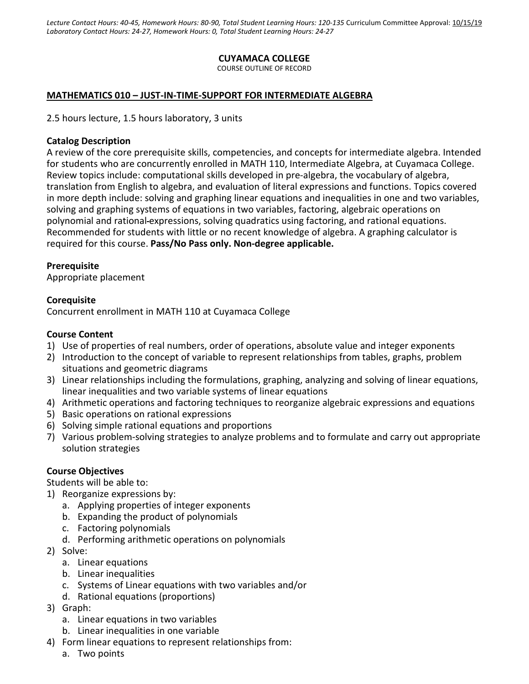*Lecture Contact Hours: 40-45, Homework Hours: 80-90, Total Student Learning Hours: 120-135* Curriculum Committee Approval: 10/15/19 *Laboratory Contact Hours: 24-27, Homework Hours: 0, Total Student Learning Hours: 24-27*

### **CUYAMACA COLLEGE**

COURSE OUTLINE OF RECORD

### **MATHEMATICS 010 – JUST-IN-TIME-SUPPORT FOR INTERMEDIATE ALGEBRA**

2.5 hours lecture, 1.5 hours laboratory, 3 units

### **Catalog Description**

A review of the core prerequisite skills, competencies, and concepts for intermediate algebra. Intended for students who are concurrently enrolled in MATH 110, Intermediate Algebra, at Cuyamaca College. Review topics include: computational skills developed in pre-algebra, the vocabulary of algebra, translation from English to algebra, and evaluation of literal expressions and functions. Topics covered in more depth include: solving and graphing linear equations and inequalities in one and two variables, solving and graphing systems of equations in two variables, factoring, algebraic operations on polynomial and rational expressions, solving quadratics using factoring, and rational equations. Recommended for students with little or no recent knowledge of algebra. A graphing calculator is required for this course. **Pass/No Pass only. Non-degree applicable.**

### **Prerequisite**

Appropriate placement

### **Corequisite**

Concurrent enrollment in MATH 110 at Cuyamaca College

### **Course Content**

- 1) Use of properties of real numbers, order of operations, absolute value and integer exponents
- 2) Introduction to the concept of variable to represent relationships from tables, graphs, problem situations and geometric diagrams
- 3) Linear relationships including the formulations, graphing, analyzing and solving of linear equations, linear inequalities and two variable systems of linear equations
- 4) Arithmetic operations and factoring techniques to reorganize algebraic expressions and equations
- 5) Basic operations on rational expressions
- 6) Solving simple rational equations and proportions
- 7) Various problem-solving strategies to analyze problems and to formulate and carry out appropriate solution strategies

#### **Course Objectives**

Students will be able to:

- 1) Reorganize expressions by:
	- a. Applying properties of integer exponents
	- b. Expanding the product of polynomials
	- c. Factoring polynomials
	- d. Performing arithmetic operations on polynomials
- 2) Solve:
	- a. Linear equations
	- b. Linear inequalities
	- c. Systems of Linear equations with two variables and/or
	- d. Rational equations (proportions)
- 3) Graph:
	- a. Linear equations in two variables
	- b. Linear inequalities in one variable
- 4) Form linear equations to represent relationships from:
	- a. Two points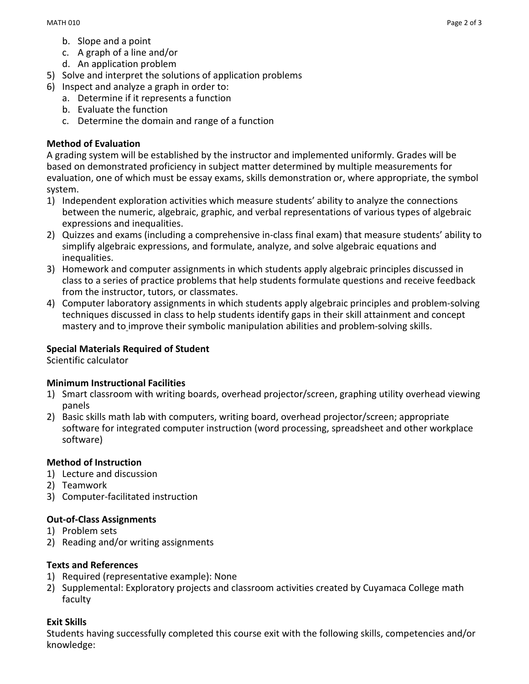- b. Slope and a point
- c. A graph of a line and/or
- d. An application problem
- 5) Solve and interpret the solutions of application problems
- 6) Inspect and analyze a graph in order to:
	- a. Determine if it represents a function
	- b. Evaluate the function
	- c. Determine the domain and range of a function

## **Method of Evaluation**

A grading system will be established by the instructor and implemented uniformly. Grades will be based on demonstrated proficiency in subject matter determined by multiple measurements for evaluation, one of which must be essay exams, skills demonstration or, where appropriate, the symbol system.

- 1) Independent exploration activities which measure students' ability to analyze the connections between the numeric, algebraic, graphic, and verbal representations of various types of algebraic expressions and inequalities.
- 2) Quizzes and exams (including a comprehensive in-class final exam) that measure students' ability to simplify algebraic expressions, and formulate, analyze, and solve algebraic equations and inequalities.
- 3) Homework and computer assignments in which students apply algebraic principles discussed in class to a series of practice problems that help students formulate questions and receive feedback from the instructor, tutors, or classmates.
- 4) Computer laboratory assignments in which students apply algebraic principles and problem-solving techniques discussed in class to help students identify gaps in their skill attainment and concept mastery and to improve their symbolic manipulation abilities and problem-solving skills.

# **Special Materials Required of Student**

Scientific calculator

## **Minimum Instructional Facilities**

- 1) Smart classroom with writing boards, overhead projector/screen, graphing utility overhead viewing panels
- 2) Basic skills math lab with computers, writing board, overhead projector/screen; appropriate software for integrated computer instruction (word processing, spreadsheet and other workplace software)

## **Method of Instruction**

- 1) Lecture and discussion
- 2) Teamwork
- 3) Computer-facilitated instruction

# **Out-of-Class Assignments**

- 1) Problem sets
- 2) Reading and/or writing assignments

## **Texts and References**

- 1) Required (representative example): None
- 2) Supplemental: Exploratory projects and classroom activities created by Cuyamaca College math faculty

# **Exit Skills**

Students having successfully completed this course exit with the following skills, competencies and/or knowledge: